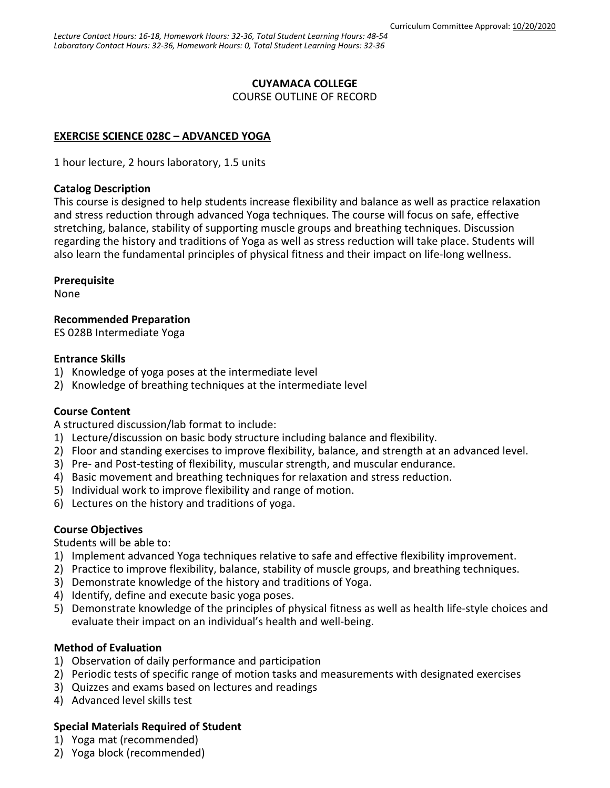## **CUYAMACA COLLEGE**

COURSE OUTLINE OF RECORD

# **EXERCISE SCIENCE 028C – ADVANCED YOGA**

1 hour lecture, 2 hours laboratory, 1.5 units

#### **Catalog Description**

This course is designed to help students increase flexibility and balance as well as practice relaxation and stress reduction through advanced Yoga techniques. The course will focus on safe, effective stretching, balance, stability of supporting muscle groups and breathing techniques. Discussion regarding the history and traditions of Yoga as well as stress reduction will take place. Students will also learn the fundamental principles of physical fitness and their impact on life-long wellness.

### **Prerequisite**

None

**Recommended Preparation**

ES 028B Intermediate Yoga

## **Entrance Skills**

- 1) Knowledge of yoga poses at the intermediate level
- 2) Knowledge of breathing techniques at the intermediate level

## **Course Content**

A structured discussion/lab format to include:

- 1) Lecture/discussion on basic body structure including balance and flexibility.
- 2) Floor and standing exercises to improve flexibility, balance, and strength at an advanced level.
- 3) Pre- and Post-testing of flexibility, muscular strength, and muscular endurance.
- 4) Basic movement and breathing techniques for relaxation and stress reduction.
- 5) Individual work to improve flexibility and range of motion.
- 6) Lectures on the history and traditions of yoga.

## **Course Objectives**

Students will be able to:

- 1) Implement advanced Yoga techniques relative to safe and effective flexibility improvement.
- 2) Practice to improve flexibility, balance, stability of muscle groups, and breathing techniques.
- 3) Demonstrate knowledge of the history and traditions of Yoga.
- 4) Identify, define and execute basic yoga poses.
- 5) Demonstrate knowledge of the principles of physical fitness as well as health life-style choices and evaluate their impact on an individual's health and well-being.

## **Method of Evaluation**

- 1) Observation of daily performance and participation
- 2) Periodic tests of specific range of motion tasks and measurements with designated exercises
- 3) Quizzes and exams based on lectures and readings
- 4) Advanced level skills test

## **Special Materials Required of Student**

- 1) Yoga mat (recommended)
- 2) Yoga block (recommended)